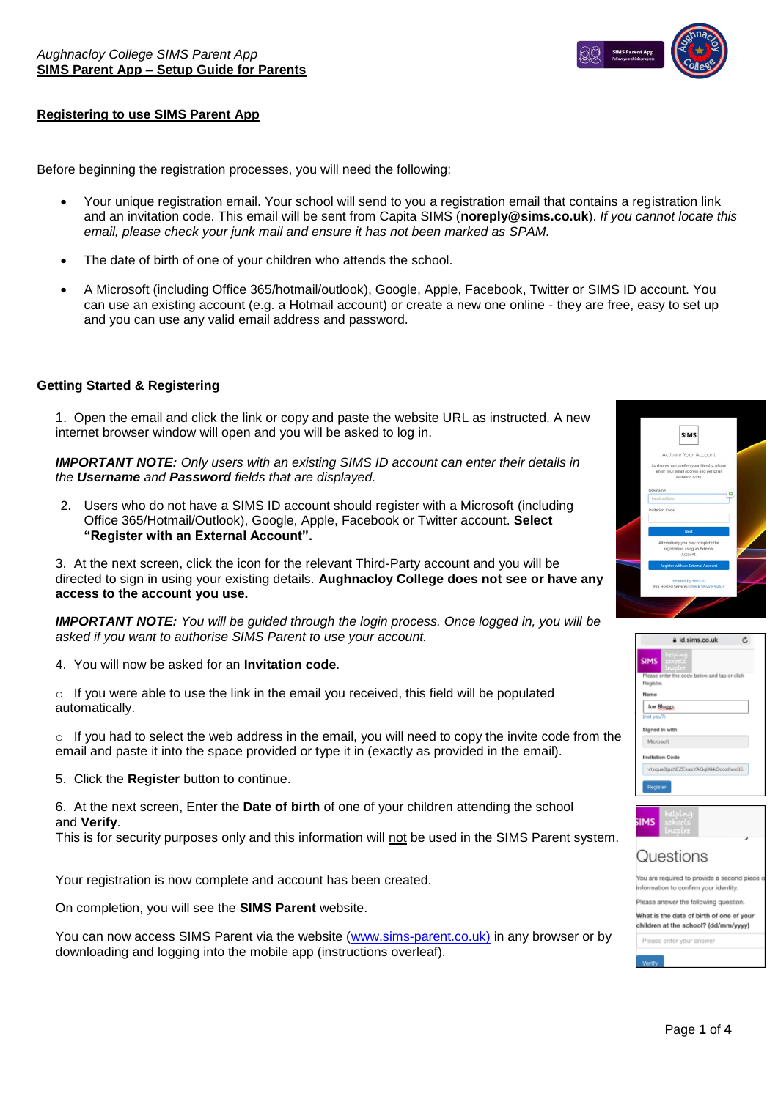

## **Registering to use SIMS Parent App**

Before beginning the registration processes, you will need the following:

- Your unique registration email. Your school will send to you a registration email that contains a registration link and an invitation code. This email will be sent from Capita SIMS (**noreply@sims.co.uk**). *If you cannot locate this email, please check your junk mail and ensure it has not been marked as SPAM.*
- The date of birth of one of your children who attends the school.
- A [Microsoft \(including Office 365/hotmail/outlook\), Google,](https://support.capitasoftware.com/csm?id=kb_article_view&sysparm_article=KB0035956) Apple, Facebook, Twitter or SIMS ID account. You can use an existing account (e.g. a Hotmail account) or create a new one online - they are free, easy to set up and you can use any valid email address and password.

### **Getting Started & Registering**

1. Open the email and click the link or copy and paste the website URL as instructed. A new internet browser window will open and you will be asked to log in.

*IMPORTANT NOTE: Only users with an existing SIMS ID account can enter their details in the Username and Password fields that are displayed.*

2. Users who do not have a SIMS ID account should register with a Microsoft (including Office 365/Hotmail/Outlook), Google, Apple, Facebook or Twitter account. **Select "Register with an External Account".**

3. At the next screen, click the icon for the relevant Third-Party account and you will be directed to sign in using your existing details. **Aughnacloy College does not see or have any access to the account you use.**

*IMPORTANT NOTE: You will be guided through the login process. Once logged in, you will be asked if you want to authorise SIMS Parent to use your account.*

4. You will now be asked for an **Invitation code**.

 $\circ$  If you were able to use the link in the email you received, this field will be populated automatically.

 $\circ$  If you had to select the web address in the email, you will need to copy the invite code from the email and paste it into the space provided or type it in (exactly as provided in the email).

5. Click the **Register** button to continue.

6. At the next screen, Enter the **Date of birth** of one of your children attending the school and **Verify**.

This is for security purposes only and this information will not be used in the SIMS Parent system.

Your registration is now complete and account has been created.

On completion, you will see the **SIMS Parent** website.

You can now access SIMS Parent via the website [\(www.sims-parent.co.uk\)](http://www.sims-parent.co.uk/) in any browser or by downloading and logging into the mobile app (instructions overleaf).







| u are required to provide a second piece<br>formation to confirm your identity. |
|---------------------------------------------------------------------------------|
| ease answer the following question.                                             |
| hat is the date of birth of one of your<br>ildren at the school? (dd/mm/yyyy)   |
| Please enter your answer                                                        |
|                                                                                 |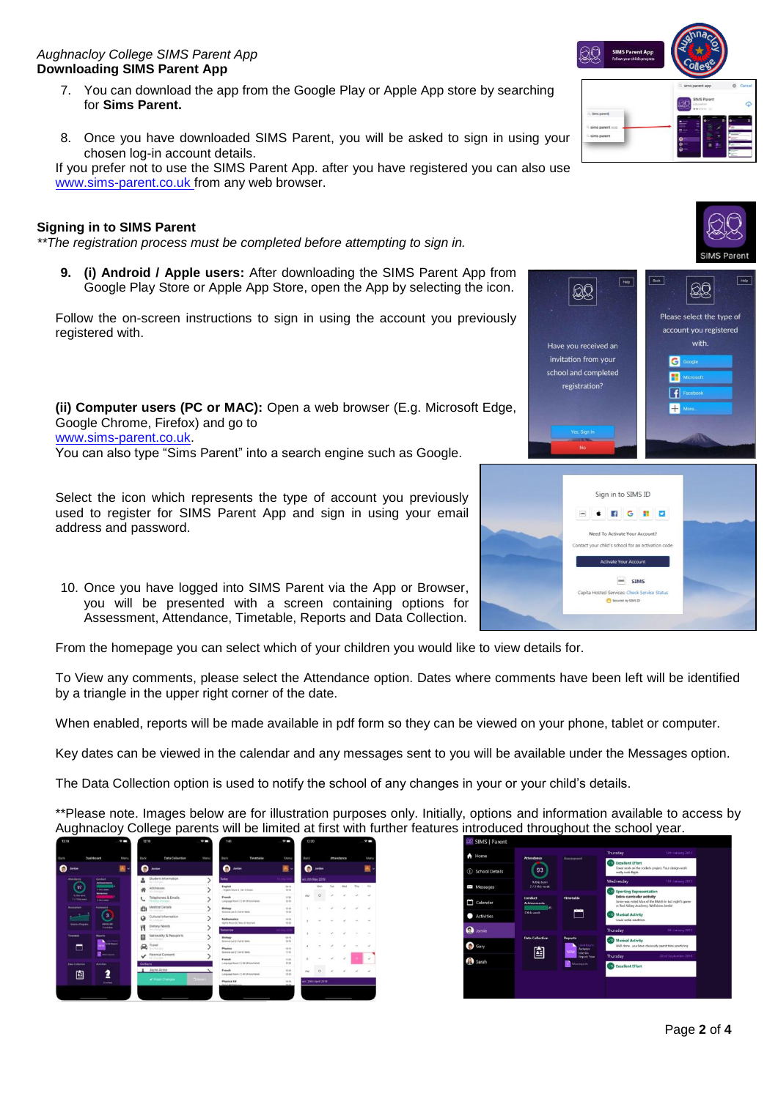### *Aughnacloy College SIMS Parent App* **Downloading SIMS Parent App**

- 7. You can download the app from the Google Play or Apple App store by searching for **Sims Parent.**
- 8. Once you have downloaded SIMS Parent, you will be asked to sign in using your chosen log-in account details.

If you prefer not to use the SIMS Parent App. after you have registered you can also use [www.sims-parent.co.uk f](http://www.sims-parent.co.uk/)rom any web browser.

### **Signing in to SIMS Parent**

*\*\*The registration process must be completed before attempting to sign in.*

**9. (i) Android / Apple users:** After downloading the SIMS Parent App from Google Play Store or Apple App Store, open the App by selecting the icon.

Follow the on-screen instructions to sign in using the account you previously registered with.

**(ii) Computer users (PC or MAC):** Open a web browser (E.g. Microsoft Edge, Google Chrome, Firefox) and go to www.sims-parent.co.uk. You can also type "Sims Parent" into a search engine such as Google.

Select the icon which represents the type of account you previously used to register for SIMS Parent App and sign in using your email address and password.

10. Once you have logged into SIMS Parent via the App or Browser, you will be presented with a screen containing options for Assessment, Attendance, Timetable, Reports and Data Collection.

From the homepage you can select which of your children you would like to view details for.

To View any comments, please select the Attendance option. Dates where comments have been left will be identified by a triangle in the upper right corner of the date.

When enabled, reports will be made available in pdf form so they can be viewed on your phone, tablet or computer.

Key dates can be viewed in the calendar and any messages sent to you will be available under the Messages option.

The Data Collection option is used to notify the school of any changes in your or your child's details.

\*\*Please note. Images below are for illustration purposes only. Initially, options and information available to access by Aughnacloy College parents will be limited at first with further features introduced throughout the school year.

| Back                               | Dashboard                                  | Meru | Back.                                     | Data Collection                            | Monu        | Back                                                     | Timetable                           | <b>Mers</b>     | Back               |                      |       | Attendance  |     | Meria  |  |
|------------------------------------|--------------------------------------------|------|-------------------------------------------|--------------------------------------------|-------------|----------------------------------------------------------|-------------------------------------|-----------------|--------------------|----------------------|-------|-------------|-----|--------|--|
| <b>Jondan</b>                      |                                            |      | Jamier                                    |                                            |             | <b>Jurdan</b>                                            |                                     |                 | Q<br><b>Jardon</b> |                      |       |             |     |        |  |
| <b>Allendance</b>                  | <b>Contact</b><br>Arhievements             |      | Student Information<br><b>Sauchenberg</b> |                                            |             | <b>India</b> y                                           |                                     |                 | wit 6th May 2019   |                      |       |             |     |        |  |
| 97                                 | 2 Mily selects                             |      | n                                         | Addresses<br>No changis                    |             | English<br>Frysten Room X I Mi It Street                 |                                     | on va.<br>48.96 |                    | Akiya                | Tues. | <b>Wald</b> | Thu | $^{+}$ |  |
| % this sales<br><b>Y/Financial</b> | <b>Bahasimal</b><br><b><i>STELLMAN</i></b> |      | $\sim$                                    | Talephones & Emails<br>Peninting phenges   |             | Franch                                                   | Language Room \$150 M Konshawn      | VE ESC<br>12.25 | <b>AN</b>          | $\circ$              |       |             |     |        |  |
| Assessment                         | <b>Morrecord</b>                           |      | ä                                         | Medical Datalla<br>Tel: chemique           |             | <b>Notagy</b><br>Science Lab 2   Mi 52 Daily             |                                     | 10:00<br>12.36  |                    |                      |       |             |     |        |  |
| <b>Science Progress</b>            | $\overline{3}$                             |      | Q                                         | Cultural Information<br>THE EPHONES        |             | <b>Mathematics</b><br>Adults Boarn & 2 Alexa di Halkmark |                                     | 14.30<br>ti so  |                    |                      |       |             |     | ۰      |  |
|                                    | printing and<br><b>Loandon</b>             |      | Ï۹                                        | Dietary Needs<br>Melinteralist             |             | <b><i><u>International</u></i></b>                       |                                     |                 |                    |                      |       |             |     |        |  |
| Tononene<br>□                      | <b>Bagarts</b>                             |      |                                           | Nationality & Passports<br>Tel: (Carriera) |             | <b>Bology</b><br>Science Lab 3 2 Mr M Walley             |                                     | pares.<br>to in |                    |                      |       |             |     | $\sim$ |  |
|                                    | <b>Che Austral</b>                         |      | €                                         | Travel<br><b>BACINESS</b>                  |             | Physics                                                  |                                     | 14.16           |                    |                      |       |             |     |        |  |
|                                    | <b>Six more</b>                            |      | ✓                                         | Parental Consent<br>No charges.            |             | Science Luis 2   60 M Holis<br>Franch                    |                                     | 11.15<br>14.96  |                    |                      |       |             |     |        |  |
| <b>СИАСИМИТИ</b>                   | <b>Artisties</b>                           |      | Contacts                                  |                                            |             |                                                          | Language Room 3   MI Military/Letal | 12, 35          |                    |                      |       |             |     |        |  |
| 囼                                  | -                                          |      |                                           | Jayne Acton                                |             | <b>Franch</b>                                            | Language Room 3 2 to tot Associated | 12.95<br>13:36  | P62                | $\circ$              |       |             |     |        |  |
|                                    | 2 trucker                                  |      |                                           | of Finish Changes                          | $2$ lines 1 | <b>Physical Ed.</b>                                      |                                     | 14:30           |                    | witi 20th April 2019 |       |             |     |        |  |





san SIMS vices: Check Se



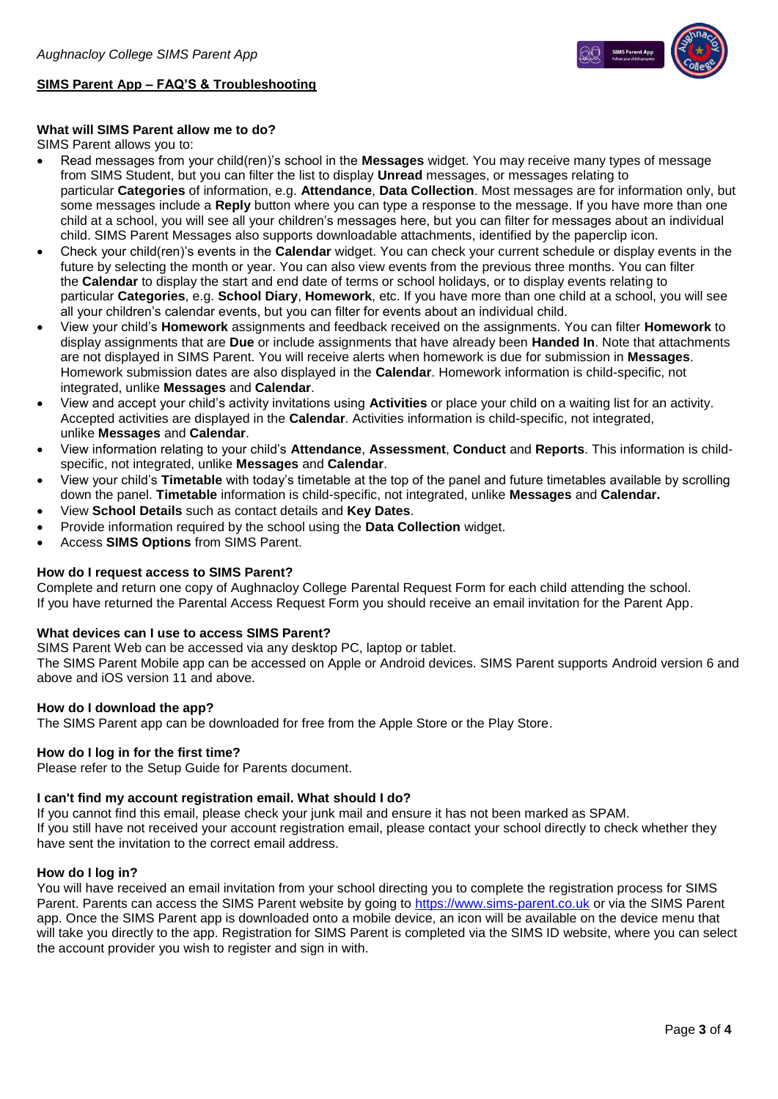

# **SIMS Parent App – FAQ'S & Troubleshooting**

## **What will SIMS Parent allow me to do?**

SIMS Parent allows you to:

- Read messages from your child(ren)'s school in the **Messages** widget. You may receive many types of message from SIMS Student, but you can filter the list to display **Unread** messages, or messages relating to particular **Categories** of information, e.g. **Attendance**, **Data Collection**. Most messages are for information only, but some messages include a **Reply** button where you can type a response to the message. If you have more than one child at a school, you will see all your children's messages here, but you can filter for messages about an individual child. SIMS Parent Messages also supports downloadable attachments, identified by the paperclip icon.
- Check your child(ren)'s events in the **Calendar** widget. You can check your current schedule or display events in the future by selecting the month or year. You can also view events from the previous three months. You can filter the **Calendar** to display the start and end date of terms or school holidays, or to display events relating to particular **Categories**, e.g. **School Diary**, **Homework**, etc. If you have more than one child at a school, you will see all your children's calendar events, but you can filter for events about an individual child.
- View your child's **Homework** assignments and feedback received on the assignments. You can filter **Homework** to display assignments that are **Due** or include assignments that have already been **Handed In**. Note that attachments are not displayed in SIMS Parent. You will receive alerts when homework is due for submission in **Messages**. Homework submission dates are also displayed in the **Calendar**. Homework information is child-specific, not integrated, unlike **Messages** and **Calendar**.
- View and accept your child's activity invitations using **Activities** or place your child on a waiting list for an activity. Accepted activities are displayed in the **Calendar**. Activities information is child-specific, not integrated, unlike **Messages** and **Calendar**.
- View information relating to your child's **Attendance**, **Assessment**, **Conduct** and **Reports**. This information is childspecific, not integrated, unlike **Messages** and **Calendar**.
- View your child's **Timetable** with today's timetable at the top of the panel and future timetables available by scrolling down the panel. **Timetable** information is child-specific, not integrated, unlike **Messages** and **Calendar.**
- View **School Details** such as contact details and **Key Dates**.
- Provide information required by the school using the **Data Collection** widget.
- Access **SIMS Options** from SIMS Parent.

## **How do I request access to SIMS Parent?**

Complete and return one copy of Aughnacloy College Parental Request Form for each child attending the school. If you have returned the Parental Access Request Form you should receive an email invitation for the Parent App.

### **What devices can I use to access SIMS Parent?**

SIMS Parent Web can be accessed via any desktop PC, laptop or tablet.

The SIMS Parent Mobile app can be accessed on Apple or Android devices. SIMS Parent supports Android version 6 and above and iOS version 11 and above.

### **How do I download the app?**

The SIMS Parent app can be downloaded for free from the Apple Store or the Play Store.

### **How do I log in for the first time?**

Please refer to the Setup Guide for Parents document.

### **I can't find my account registration email. What should I do?**

If you cannot find this email, please check your junk mail and ensure it has not been marked as SPAM.

If you still have not received your account registration email, please contact your school directly to check whether they have sent the invitation to the correct email address.

### **How do I log in?**

You will have received an email invitation from your school directing you to complete the registration process for SIMS Parent. Parents can access the SIMS Parent website by going to [https://www.sims-parent.co.uk](https://www.sims-parent.co.uk/) or via the SIMS Parent app. Once the SIMS Parent app is downloaded onto a mobile device, an icon will be available on the device menu that will take you directly to the app. Registration for SIMS Parent is completed via the SIMS ID website, where you can select the account provider you wish to register and sign in with.